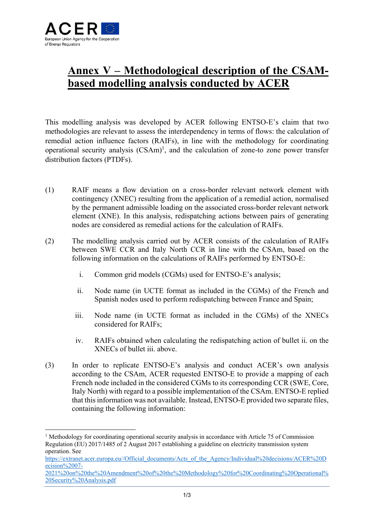

## **Annex V – Methodological description of the CSAMbased modelling analysis conducted by ACER**

This modelling analysis was developed by ACER following ENTSO-E's claim that two methodologies are relevant to assess the interdependency in terms of flows: the calculation of remedial action influence factors (RAIFs), in line with the methodology for coordinating operational security analysis  $(CSAm)^1$ , and the calculation of zone-to zone power transfer distribution factors (PTDFs).

- (1) RAIF means a flow deviation on a cross-border relevant network element with contingency (XNEC) resulting from the application of a remedial action, normalised by the permanent admissible loading on the associated cross-border relevant network element (XNE). In this analysis, redispatching actions between pairs of generating nodes are considered as remedial actions for the calculation of RAIFs.
- (2) The modelling analysis carried out by ACER consists of the calculation of RAIFs between SWE CCR and Italy North CCR in line with the CSAm, based on the following information on the calculations of RAIFs performed by ENTSO-E:
	- i. Common grid models (CGMs) used for ENTSO-E's analysis;
	- ii. Node name (in UCTE format as included in the CGMs) of the French and Spanish nodes used to perform redispatching between France and Spain;
	- iii. Node name (in UCTE format as included in the CGMs) of the XNECs considered for RAIFs;
	- iv. RAIFs obtained when calculating the redispatching action of bullet ii. on the XNECs of bullet iii. above.
- (3) In order to replicate ENTSO-E's analysis and conduct ACER's own analysis according to the CSAm, ACER requested ENTSO-E to provide a mapping of each French node included in the considered CGMs to its corresponding CCR (SWE, Core, Italy North) with regard to a possible implementation of the CSAm. ENTSO-E replied that this information was not available. Instead, ENTSO-E provided two separate files, containing the following information:

<sup>&</sup>lt;sup>1</sup> Methodology for coordinating operational security analysis in accordance with Article 75 of Commission Regulation (EU) 2017/1485 of 2 August 2017 establishing a guideline on electricity transmission system operation. See

https://extranet.acer.europa.eu//Official\_documents/Acts\_of\_the\_Agency/Individual%20decisions/ACER%20D ecision%2007-

<sup>2021%20</sup>on%20the%20Amendment%20of%20the%20Methodology%20for%20Coordinating%20Operational% 20Security%20Analysis.pdf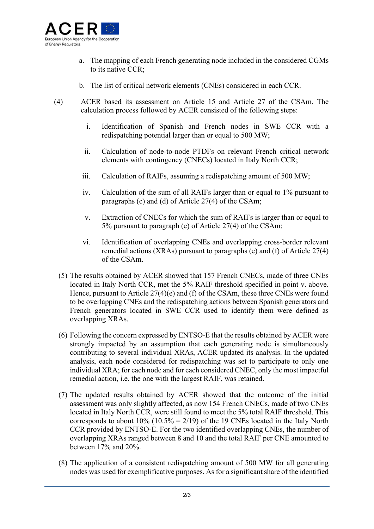

- a. The mapping of each French generating node included in the considered CGMs to its native CCR;
- b. The list of critical network elements (CNEs) considered in each CCR.
- (4) ACER based its assessment on Article 15 and Article 27 of the CSAm. The calculation process followed by ACER consisted of the following steps:
	- i. Identification of Spanish and French nodes in SWE CCR with a redispatching potential larger than or equal to 500 MW;
	- ii. Calculation of node-to-node PTDFs on relevant French critical network elements with contingency (CNECs) located in Italy North CCR;
	- iii. Calculation of RAIFs, assuming a redispatching amount of 500 MW;
	- iv. Calculation of the sum of all RAIFs larger than or equal to 1% pursuant to paragraphs (c) and (d) of Article 27(4) of the CSAm;
	- v. Extraction of CNECs for which the sum of RAIFs is larger than or equal to 5% pursuant to paragraph (e) of Article 27(4) of the CSAm;
	- vi. Identification of overlapping CNEs and overlapping cross-border relevant remedial actions (XRAs) pursuant to paragraphs (e) and (f) of Article 27(4) of the CSAm.
	- (5) The results obtained by ACER showed that 157 French CNECs, made of three CNEs located in Italy North CCR, met the 5% RAIF threshold specified in point v. above. Hence, pursuant to Article 27(4)(e) and (f) of the CSAm, these three CNEs were found to be overlapping CNEs and the redispatching actions between Spanish generators and French generators located in SWE CCR used to identify them were defined as overlapping XRAs.
	- (6) Following the concern expressed by ENTSO-E that the results obtained by ACER were strongly impacted by an assumption that each generating node is simultaneously contributing to several individual XRAs, ACER updated its analysis. In the updated analysis, each node considered for redispatching was set to participate to only one individual XRA; for each node and for each considered CNEC, only the most impactful remedial action, i.e. the one with the largest RAIF, was retained.
	- (7) The updated results obtained by ACER showed that the outcome of the initial assessment was only slightly affected, as now 154 French CNECs, made of two CNEs located in Italy North CCR, were still found to meet the 5% total RAIF threshold. This corresponds to about  $10\%$  ( $10.5\% = 2/19$ ) of the 19 CNEs located in the Italy North CCR provided by ENTSO-E. For the two identified overlapping CNEs, the number of overlapping XRAs ranged between 8 and 10 and the total RAIF per CNE amounted to between 17% and 20%.
	- (8) The application of a consistent redispatching amount of 500 MW for all generating nodes was used for exemplificative purposes. As for a significant share of the identified